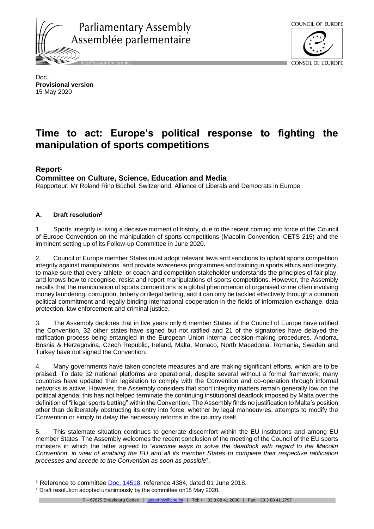



Doc… **Provisional version** 15 May 2020

# **Time to act: Europe's political response to fighting the manipulation of sports competitions**

# **Report<sup>1</sup>**

**Committee on Culture, Science, Education and Media**

Rapporteur: Mr Roland Rino Büchel, Switzerland, Alliance of Liberals and Democrats in Europe

## **A. Draft resolution<sup>2</sup>**

1. Sports integrity is living a decisive moment of history, due to the recent coming into force of the Council of Europe Convention on the manipulation of sports competitions (Macolin Convention, CETS 215) and the imminent setting up of its Follow-up Committee in June 2020.

2. Council of Europe member States must adopt relevant laws and sanctions to uphold sports competition integrity against manipulations and provide awareness programmes and training in sports ethics and integrity, to make sure that every athlete, or coach and competition stakeholder understands the principles of fair play, and knows how to recognise, resist and report manipulations of sports competitions. However, the Assembly recalls that the manipulation of sports competitions is a global phenomenon of organised crime often involving money laundering, corruption, bribery or illegal betting, and it can only be tackled effectively through a common political commitment and legally binding international cooperation in the fields of information exchange, data protection, law enforcement and criminal justice.

3. The Assembly deplores that in five years only 6 member States of the Council of Europe have ratified the Convention, 32 other states have signed but not ratified and 21 of the signatories have delayed the ratification process being entangled in the European Union internal decision-making procedures. Andorra, Bosnia & Herzegovina, Czech Republic, Ireland, Malta, Monaco, North Macedonia, Romania, Sweden and Turkey have not signed the Convention.

4. Many governments have taken concrete measures and are making significant efforts, which are to be praised. To date 32 national platforms are operational, despite several without a formal framework; many countries have updated their legislation to comply with the Convention and co-operation through informal networks is active. However, the Assembly considers that sport integrity matters remain generally low on the political agenda; this has not helped terminate the continuing institutional deadlock imposed by Malta over the definition of "illegal sports betting" within the Convention. The Assembly finds no justification to Malta's position other than deliberately obstructing its entry into force, whether by legal manoeuvres, attempts to modify the Convention or simply to delay the necessary reforms in the country itself.

5. This stalemate situation continues to generate discomfort within the EU institutions and among EU member States. The Assembly welcomes the recent conclusion of the meeting of the Council of the EU sports ministers in which the latter agreed to *"examine ways to solve the deadlock with regard to the Macolin Convention, in view of enabling the EU and all its member States to complete their respective ratification processes and accede to the Convention as soon as possible*".

<sup>&</sup>lt;sup>1</sup> Reference to committee [Doc. 14518,](http://assembly.coe.int/nw/xml/XRef/Xref-DocDetails-EN.asp?FileID=24553&lang=EN) reference 4384, dated 01 June 2018.

 $2$  Draft resolution adopted unanimously by the committee on 15 May 2020.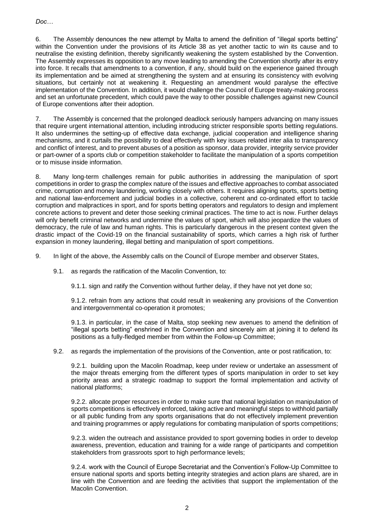6. The Assembly denounces the new attempt by Malta to amend the definition of "illegal sports betting" within the Convention under the provisions of its Article 38 as yet another tactic to win its cause and to neutralise the existing definition, thereby significantly weakening the system established by the Convention. The Assembly expresses its opposition to any move leading to amending the Convention shortly after its entry into force. It recalls that amendments to a convention, if any, should build on the experience gained through its implementation and be aimed at strengthening the system and at ensuring its consistency with evolving situations, but certainly not at weakening it. Requesting an amendment would paralyse the effective implementation of the Convention. In addition, it would challenge the Council of Europe treaty-making process and set an unfortunate precedent, which could pave the way to other possible challenges against new Council of Europe conventions after their adoption.

7. The Assembly is concerned that the prolonged deadlock seriously hampers advancing on many issues that require urgent international attention, including introducing stricter responsible sports betting regulations. It also undermines the setting-up of effective data exchange, judicial cooperation and intelligence sharing mechanisms, and it curtails the possibility to deal effectively with key issues related inter alia to transparency and conflict of interest, and to prevent abuses of a position as sponsor, data provider, integrity service provider or part-owner of a sports club or competition stakeholder to facilitate the manipulation of a sports competition or to misuse inside information.

8. Many long-term challenges remain for public authorities in addressing the manipulation of sport competitions in order to grasp the complex nature of the issues and effective approaches to combat associated crime, corruption and money laundering, working closely with others. It requires aligning sports, sports betting and national law-enforcement and judicial bodies in a collective, coherent and co-ordinated effort to tackle corruption and malpractices in sport, and for sports betting operators and regulators to design and implement concrete actions to prevent and deter those seeking criminal practices. The time to act is now. Further delays will only benefit criminal networks and undermine the values of sport, which will also jeopardize the values of democracy, the rule of law and human rights. This is particularly dangerous in the present context given the drastic impact of the Covid-19 on the financial sustainability of sports, which carries a high risk of further expansion in money laundering, illegal betting and manipulation of sport competitions.

9. In light of the above, the Assembly calls on the Council of Europe member and observer States,

9.1. as regards the ratification of the Macolin Convention, to:

9.1.1. sign and ratify the Convention without further delay, if they have not yet done so;

9.1.2. refrain from any actions that could result in weakening any provisions of the Convention and intergovernmental co-operation it promotes;

9.1.3. in particular, in the case of Malta, stop seeking new avenues to amend the definition of "illegal sports betting" enshrined in the Convention and sincerely aim at joining it to defend its positions as a fully-fledged member from within the Follow-up Committee;

9.2. as regards the implementation of the provisions of the Convention, ante or post ratification, to:

9.2.1. building upon the Macolin Roadmap, keep under review or undertake an assessment of the major threats emerging from the different types of sports manipulation in order to set key priority areas and a strategic roadmap to support the formal implementation and activity of national platforms;

9.2.2. allocate proper resources in order to make sure that national legislation on manipulation of sports competitions is effectively enforced, taking active and meaningful steps to withhold partially or all public funding from any sports organisations that do not effectively implement prevention and training programmes or apply regulations for combating manipulation of sports competitions;

9.2.3. widen the outreach and assistance provided to sport governing bodies in order to develop awareness, prevention, education and training for a wide range of participants and competition stakeholders from grassroots sport to high performance levels;

9.2.4. work with the Council of Europe Secretariat and the Convention's Follow-Up Committee to ensure national sports and sports betting integrity strategies and action plans are shared, are in line with the Convention and are feeding the activities that support the implementation of the Macolin Convention.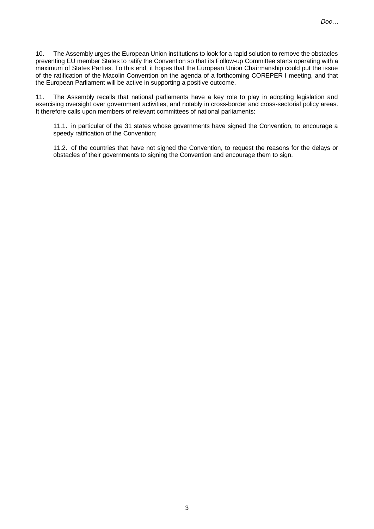10. The Assembly urges the European Union institutions to look for a rapid solution to remove the obstacles preventing EU member States to ratify the Convention so that its Follow-up Committee starts operating with a maximum of States Parties. To this end, it hopes that the European Union Chairmanship could put the issue of the ratification of the Macolin Convention on the agenda of a forthcoming COREPER I meeting, and that the European Parliament will be active in supporting a positive outcome.

11. The Assembly recalls that national parliaments have a key role to play in adopting legislation and exercising oversight over government activities, and notably in cross-border and cross-sectorial policy areas. It therefore calls upon members of relevant committees of national parliaments:

11.1. in particular of the 31 states whose governments have signed the Convention, to encourage a speedy ratification of the Convention;

11.2. of the countries that have not signed the Convention, to request the reasons for the delays or obstacles of their governments to signing the Convention and encourage them to sign.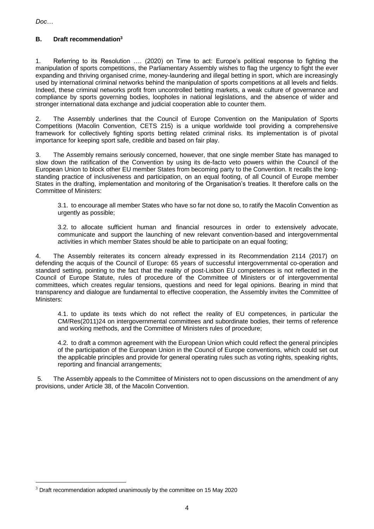# **B. Draft recommendation<sup>3</sup>**

1. Referring to its Resolution …. (2020) on Time to act: Europe's political response to fighting the manipulation of sports competitions, the Parliamentary Assembly wishes to flag the urgency to fight the ever expanding and thriving organised crime, money-laundering and illegal betting in sport, which are increasingly used by international criminal networks behind the manipulation of sports competitions at all levels and fields. Indeed, these criminal networks profit from uncontrolled betting markets, a weak culture of governance and compliance by sports governing bodies, loopholes in national legislations, and the absence of wider and stronger international data exchange and judicial cooperation able to counter them.

2. The Assembly underlines that the Council of Europe Convention on the Manipulation of Sports Competitions (Macolin Convention, CETS 215) is a unique worldwide tool providing a comprehensive framework for collectively fighting sports betting related criminal risks. Its implementation is of pivotal importance for keeping sport safe, credible and based on fair play.

3. The Assembly remains seriously concerned, however, that one single member State has managed to slow down the ratification of the Convention by using its de-facto veto powers within the Council of the European Union to block other EU member States from becoming party to the Convention. It recalls the longstanding practice of inclusiveness and participation, on an equal footing, of all Council of Europe member States in the drafting, implementation and monitoring of the Organisation's treaties. It therefore calls on the Committee of Ministers:

3.1. to encourage all member States who have so far not done so, to ratify the Macolin Convention as urgently as possible;

3.2. to allocate sufficient human and financial resources in order to extensively advocate, communicate and support the launching of new relevant convention-based and intergovernmental activities in which member States should be able to participate on an equal footing;

4. The Assembly reiterates its concern already expressed in its Recommendation 2114 (2017) on defending the acquis of the Council of Europe: 65 years of successful intergovernmental co-operation and standard setting, pointing to the fact that the reality of post-Lisbon EU competences is not reflected in the Council of Europe Statute, rules of procedure of the Committee of Ministers or of intergovernmental committees, which creates regular tensions, questions and need for legal opinions. Bearing in mind that transparency and dialogue are fundamental to effective cooperation, the Assembly invites the Committee of Ministers:

4.1. to update its texts which do not reflect the reality of EU competences, in particular the CM/Res(2011)24 on intergovernmental committees and subordinate bodies, their terms of reference and working methods, and the Committee of Ministers rules of procedure;

4.2. to draft a common agreement with the European Union which could reflect the general principles of the participation of the European Union in the Council of Europe conventions, which could set out the applicable principles and provide for general operating rules such as voting rights, speaking rights, reporting and financial arrangements;

5. The Assembly appeals to the Committee of Ministers not to open discussions on the amendment of any provisions, under Article 38, of the Macolin Convention.

<sup>&</sup>lt;sup>3</sup> Draft recommendation adopted unanimously by the committee on 15 May 2020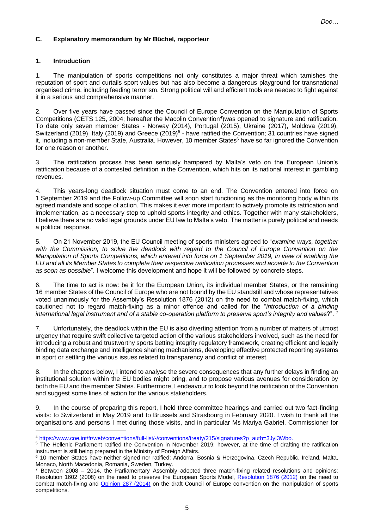#### **C. Explanatory memorandum by Mr Büchel, rapporteur**

#### **1. Introduction**

1. The manipulation of sports competitions not only constitutes a major threat which tarnishes the reputation of sport and curtails sport values but has also become a dangerous playground for transnational organised crime, including feeding terrorism. Strong political will and efficient tools are needed to fight against it in a serious and comprehensive manner.

2. Over five years have passed since the Council of Europe Convention on the Manipulation of Sports Competitions (CETS 125, 2004; hereafter the Macolin Convention<sup>4</sup>) was opened to signature and ratification. To date only seven member States - Norway (2014), Portugal (2015), Ukraine (2017), Moldova (2019), Switzerland (2019), Italy (2019) and Greece (2019)<sup>5</sup> - have ratified the Convention; 31 countries have signed it, including a non-member State, Australia. However, 10 member States<sup>6</sup> have so far ignored the Convention for one reason or another.

3. The ratification process has been seriously hampered by Malta's veto on the European Union's ratification because of a contested definition in the Convention, which hits on its national interest in gambling revenues.

4. This years-long deadlock situation must come to an end. The Convention entered into force on 1 September 2019 and the Follow-up Committee will soon start functioning as the monitoring body within its agreed mandate and scope of action. This makes it ever more important to actively promote its ratification and implementation, as a necessary step to uphold sports integrity and ethics. Together with many stakeholders, I believe there are no valid legal grounds under EU law to Malta's veto. The matter is purely political and needs a political response.

5. On 21 November 2019, the EU Council meeting of sports ministers agreed to "*examine ways, together with the Commission, to solve the deadlock with regard to the Council of Europe Convention on the Manipulation of Sports Competitions, which entered into force on 1 September 2019, in view of enabling the EU and all its Member States to complete their respective ratification processes and accede to the Convention as soon as possible*". I welcome this development and hope it will be followed by concrete steps.

6. The time to act is now: be it for the European Union, its individual member States, or the remaining 16 member States of the Council of Europe who are not bound by the EU standstill and whose representatives voted unanimously for the Assembly's Resolution 1876 (2012) on the need to combat match-fixing, which cautioned not to regard match-fixing as a minor offence and called for the "*introduction of a binding international legal instrument and of a stable co-operation platform to preserve sport's integrity and values?".* 

7. Unfortunately, the deadlock within the EU is also diverting attention from a number of matters of utmost urgency that require swift collective targeted action of the various stakeholders involved, such as the need for introducing a robust and trustworthy sports betting integrity regulatory framework, creating efficient and legally binding data exchange and intelligence sharing mechanisms, developing effective protected reporting systems in sport or settling the various issues related to transparency and conflict of interest.

8. In the chapters below, I intend to analyse the severe consequences that any further delays in finding an institutional solution within the EU bodies might bring, and to propose various avenues for consideration by both the EU and the member States. Furthermore, I endeavour to look beyond the ratification of the Convention and suggest some lines of action for the various stakeholders.

9. In the course of preparing this report, I held three committee hearings and carried out two fact-finding visits: to Switzerland in May 2019 and to Brussels and Strasbourg in February 2020. I wish to thank all the organisations and persons I met during those visits, and in particular Ms Mariya Gabriel, Commissioner for

<sup>4</sup> [https://www.coe.int/fr/web/conventions/full-list/-/conventions/treaty/215/signatures?p\\_auth=3JyI3Wbo.](https://www.coe.int/fr/web/conventions/full-list/-/conventions/treaty/215/signatures?p_auth=3JyI3Wbo)

<sup>&</sup>lt;sup>5</sup> The Hellenic Parliament ratified the Convention in November 2019; however, at the time of drafting the ratification instrument is still being prepared in the Ministry of Foreign Affairs.

<sup>6</sup> 10 member States have neither signed nor ratified: Andorra, Bosnia & Herzegovina, Czech Republic, Ireland, Malta, Monaco, North Macedonia, Romania, Sweden, Turkey.

Between 2008 – 2014, the Parliamentary Assembly adopted three match-fixing related resolutions and opinions: Resolution 1602 (2008) on the need to preserve the European Sports Model, [Resolution 1876 \(2012\)](http://assembly.coe.int/nw/xml/XRef/Xref-DocDetails-EN.asp?FileID=18264&lang=EN) on the need to combat match-fixing and [Opinion 287 \(2014\)](http://assembly.coe.int/nw/xml/XRef/Xref-DocDetails-EN.asp?FileID=20927&lang=EN) on the draft Council of Europe convention on the manipulation of sports competitions.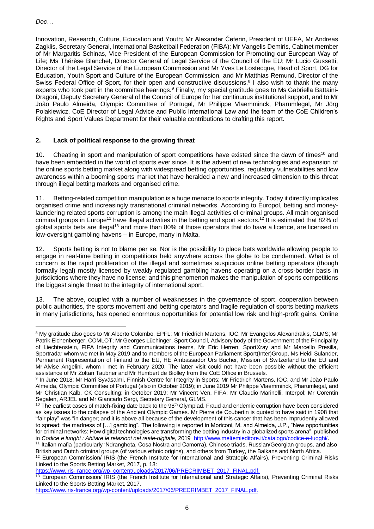Innovation, Research, Culture, Education and Youth; Mr Alexander Čeferin, President of UEFA, Mr Andreas Zagklis, Secretary General, International Basketball Federation (FIBA); Mr Vangelis Demiris, Cabinet member of Mr Margaritis Schinas, Vice-President of the European Commission for Promoting our European Way of Life; Ms Thérèse Blanchet, Director General of Legal Service of the Council of the EU; Mr Lucio Gussetti, Director of the Legal Service of the European Commission and Mr Yves Le Lostecque, Head of Sport, DG for Education, Youth Sport and Culture of the European Commission, and Mr Matthias Remund, Director of the Swiss Federal Office of Sport, for their open and constructive discussions.<sup>8</sup> I also wish to thank the many experts who took part in the committee hearings.<sup>9</sup> Finally, my special gratitude goes to Ms Gabriella Battaini-Dragoni, Deputy Secretary General of the Council of Europe for her continuous institutional support, and to Mr João Paulo Almeida, Olympic Committee of Portugal, Mr Philippe Vlaemminck, Pharumlegal, Mr Jörg Polakiewicz, CoE Director of Legal Advice and Public International Law and the team of the CoE Children's Rights and Sport Values Department for their valuable contributions to drafting this report.

## **2. Lack of political response to the growing threat**

10. Cheating in sport and manipulation of sport competitions have existed since the dawn of times<sup>10</sup> and have been embedded in the world of sports ever since. It is the advent of new technologies and expansion of the online sports betting market along with widespread betting opportunities, regulatory vulnerabilities and low awareness within a booming sports market that have heralded a new and increased dimension to this threat through illegal betting markets and organised crime.

11. Betting-related competition manipulation is a huge menace to sports integrity. Today it directly implicates organised crime and increasingly transnational criminal networks. According to Europol, betting and moneylaundering related sports corruption is among the main illegal activities of criminal groups. All main organised criminal groups in Europe<sup>11</sup> have illegal activities in the betting and sport sectors.<sup>12</sup> It is estimated that 82% of global sports bets are illegal<sup>13</sup> and more than 80% of those operators that do have a licence, are licensed in low-oversight gambling havens – in Europe, many in Malta.

12. Sports betting is not to blame per se. Nor is the possibility to place bets worldwide allowing people to engage in real-time betting in competitions held anywhere across the globe to be condemned. What is of concern is the rapid proliferation of the illegal and sometimes suspicious online betting operators (though formally legal) mostly licensed by weakly regulated gambling havens operating on a cross-border basis in jurisdictions where they have no license; and this phenomenon makes the manipulation of sports competitions the biggest single threat to the integrity of international sport.

13. The above, coupled with a number of weaknesses in the governance of sport, cooperation between public authorities, the sports movement and betting operators and fragile regulation of sports betting markets in many jurisdictions, has opened enormous opportunities for potential low risk and high-profit gains. Online

https://www.iris- rance.org/wp- [content/uploads/2017/06/PRECRIMBET\\_2017\\_FINAL.pdf.](https://www.iris- rance.org/wp- content/uploads/2017/06/PRECRIMBET_2017_FINAL.pdf)

<sup>8</sup> My gratitude also goes to Mr Alberto Colombo, EPFL; Mr Friedrich Martens, IOC, Mr Evangelos Alexandrakis, GLMS; Mr Patrik Eichenberger, COMLOT; Mr Georges Lüchinger, Sport Council, Advisory body of the Government of the Principality of Liechtenstein, FIFA Integrity and Communications teams, Mr Eric Herren, SportXray and Mr Marcello Presilla, Sportradar whom we met in May 2019 and to members of the European Parliament Sport(Inter)Group, Ms Heidi Sulander, Permanent Representation of Finland to the EU, HE Ambassador Urs Bucher, Mission of Switzerland to the EU and Mr Alvise Angelini, whom I met in February 2020. The latter visit could not have been possible without the efficient assistance of Mr Zoltan Taubner and Mr Humbert de Biolley from the CoE Office in Brussels.

<sup>9</sup> In June 2018: Mr Harri Syväsalmi, Finnish Centre for Integrity in Sports; Mr Friedrich Martens, IOC, and Mr João Paulo Almeida, Olympic Committee of Portugal (also in October 2019); in June 2019 Mr Philippe Vlaemminck, Pharumlegal, and Mr Christian Kalb, CK Consulting; in October 2019: Mr Vincent Ven, FIFA; Mr Claudio Marinelli, Interpol; Mr Corentin Segalen, ARJEL and Mr Giancarlo Sergi, Secretary General, GLMS.

 $10$  The earliest cases of match-fixing date back to the 98<sup>th</sup> Olympiad. Fraud and endemic corruption have been considered as key issues to the collapse of the Ancient Olympic Games. Mr Pierre de Coubertin is quoted to have said in 1908 that "fair play" was "in danger; and it is above all because of the development of this cancer that has been imprudently allowed to spread: the madness of […] gambling". The following is reported in Moriconi, M. and Almeida, J.P., "New opportunities for criminal networks: How digital technologies are transforming the betting industry in a globalized sports arena", published in *Codice e luoghi : Abitare le relazioni nel reale-digitale*, 2019 [http://www.meltemieditore.it/catalogo/codice-e-luoghi/.](http://www.meltemieditore.it/catalogo/codice-e-luoghi/)

<sup>11</sup> Italian mafia (particularly 'Ndrangheta, Cosa Nostra and Camorra), Chinese triads, Russian/Georgian groups, and also British and Dutch criminal groups (of various ethnic origins), and others from Turkey, the Balkans and North Africa.

<sup>12</sup> European Commission/ IRIS (the French Institute for International and Strategic Affairs), Preventing Criminal Risks Linked to the Sports Betting Market, 2017, p. 13:

<sup>&</sup>lt;sup>13</sup> European Commission/ IRIS (the French Institute for International and Strategic Affairs), Preventing Criminal Risks Linked to the Sports Betting Market, 2017,

[https://www.iris-france.org/wp-content/uploads/2017/06/PRECRIMBET\\_2017\\_FINAL.pdf.](https://www.iris-france.org/wp-content/uploads/2017/06/PRECRIMBET_2017_FINAL.pdf)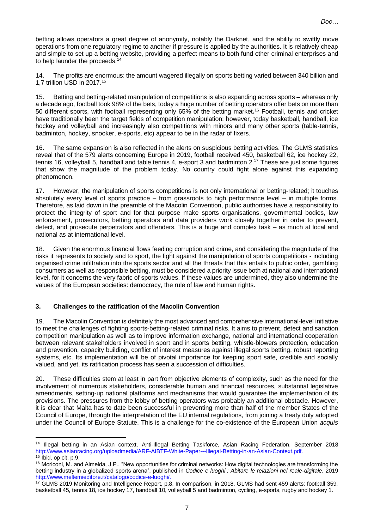betting allows operators a great degree of anonymity, notably the Darknet, and the ability to swiftly move operations from one regulatory regime to another if pressure is applied by the authorities. It is relatively cheap and simple to set up a betting website, providing a perfect means to both fund other criminal enterprises and to help launder the proceeds.<sup>1</sup>

14. The profits are enormous: the amount wagered illegally on sports betting varied between 340 billion and 1,7 trillion USD in 2017.<sup>15</sup>

15. Betting and betting-related manipulation of competitions is also expanding across sports – whereas only a decade ago, football took 98% of the bets, today a huge number of betting operators offer bets on more than 50 different sports, with football representing only 65% of the betting market**.** <sup>16</sup> Football, tennis and cricket have traditionally been the target fields of competition manipulation; however, today basketball, handball, ice hockey and volleyball and increasingly also competitions with minors and many other sports (table-tennis, badminton, hockey, snooker, e-sports, etc) appear to be in the radar of fixers.

16. The same expansion is also reflected in the alerts on suspicious betting activities. The GLMS statistics reveal that of the 579 alerts concerning Europe in 2019, football received 450, basketball 62, ice hockey 22, tennis 16, volleyball 5, handball and table tennis 4, e-sport 3 and badminton 2.<sup>17</sup> These are just some figures that show the magnitude of the problem today. No country could fight alone against this expanding phenomenon.

17. However, the manipulation of sports competitions is not only international or betting-related; it touches absolutely every level of sports practice – from grassroots to high performance level – in multiple forms. Therefore, as laid down in the preamble of the Macolin Convention, public authorities have a responsibility to protect the integrity of sport and for that purpose make sports organisations, governmental bodies, law enforcement, prosecutors, betting operators and data providers work closely together in order to prevent, detect, and prosecute perpetrators and offenders. This is a huge and complex task – as much at local and national as at international level.

18. Given the enormous financial flows feeding corruption and crime, and considering the magnitude of the risks it represents to society and to sport, the fight against the manipulation of sports competitions - including organised crime infiltration into the sports sector and all the threats that this entails to public order, gambling consumers as well as responsible betting, must be considered a priority issue both at national and international level, for it concerns the very fabric of sports values. If these values are undermined, they also undermine the values of the European societies: democracy, the rule of law and human rights.

#### **3. Challenges to the ratification of the Macolin Convention**

19. The Macolin Convention is definitely the most advanced and comprehensive international-level initiative to meet the challenges of fighting sports-betting-related criminal risks. It aims to prevent, detect and sanction competition manipulation as well as to improve information exchange, national and international cooperation between relevant stakeholders involved in sport and in sports betting, whistle-blowers protection, education and prevention, capacity building, conflict of interest measures against illegal sports betting, robust reporting systems, etc. Its implementation will be of pivotal importance for keeping sport safe, credible and socially valued, and yet, its ratification process has seen a succession of difficulties.

20. These difficulties stem at least in part from objective elements of complexity, such as the need for the involvement of numerous stakeholders, considerable human and financial resources, substantial legislative amendments, setting-up national platforms and mechanisms that would guarantee the implementation of its provisions. The pressures from the lobby of betting operators was probably an additional obstacle. However, it is clear that Malta has to date been successful in preventing more than half of the member States of the Council of Europe, through the interpretation of the EU internal regulations, from joining a treaty duly adopted under the Council of Europe Statute. This is a challenge for the co-existence of the European Union *acquis*

<sup>14</sup> Illegal betting in an Asian context, Anti-Illegal Betting Taskforce, Asian Racing Federation, September 2018 [http://www.asianracing.org/uploadmedia/ARF-AIBTF-White-Paper---Illegal-Betting-in-an-Asian-Context.pdf.](http://www.asianracing.org/uploadmedia/ARF-AIBTF-White-Paper---Illegal-Betting-in-an-Asian-Context.pdf)  $15$  Ibid, op cit, p.9.

<sup>&</sup>lt;sup>16</sup> Moriconi, M. and Almeida, J.P., "New opportunities for criminal networks: How digital technologies are transforming the betting industry in a globalized sports arena", published in *Codice e luoghi : Abitare le relazioni nel reale-digitale*, 2019 [http://www.meltemieditore.it/catalogo/codice-e-luoghi/.](http://www.meltemieditore.it/catalogo/codice-e-luoghi/)

<sup>&</sup>lt;sup>17</sup> GLMS 2019 Monitoring and Intelligence Report, p.8. In comparison, in 2018, GLMS had sent 459 alerts: football 359, basketball 45, tennis 18, ice hockey 17, handball 10, volleyball 5 and badminton, cycling, e-sports, rugby and hockey 1.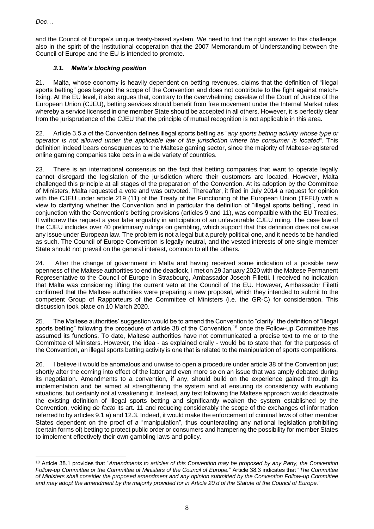*Doc…*

and the Council of Europe's unique treaty-based system. We need to find the right answer to this challenge, also in the spirit of the institutional cooperation that the 2007 Memorandum of Understanding between the Council of Europe and the EU is intended to promote.

# *3.1. Malta's blocking position*

21. Malta, whose economy is heavily dependent on betting revenues, claims that the definition of "illegal sports betting" goes beyond the scope of the Convention and does not contribute to the fight against matchfixing. At the EU level, it also argues that, contrary to the overwhelming caselaw of the Court of Justice of the European Union (CJEU), betting services should benefit from free movement under the Internal Market rules whereby a service licensed in one member State should be accepted in all others. However, it is perfectly clear from the jurisprudence of the CJEU that the principle of mutual recognition is not applicable in this area.

22. Article 3.5.a of the Convention defines illegal sports betting as "*any sports betting activity whose type or operator is not allowed under the applicable law of the jurisdiction where the consumer is located"*. This definition indeed bears consequences to the Maltese gaming sector, since the majority of Maltese-registered online gaming companies take bets in a wide variety of countries.

23. There is an international consensus on the fact that betting companies that want to operate legally cannot disregard the legislation of the jurisdiction where their customers are located. However, Malta challenged this principle at all stages of the preparation of the Convention. At its adoption by the Committee of Ministers, Malta requested a vote and was outvoted. Thereafter, it filed in July 2014 a request for opinion with the CJEU under article 219 (11) of the Treaty of the Functioning of the European Union (TFEU) with a view to clarifying whether the Convention and in particular the definition of "illegal sports betting", read in conjunction with the Convention's betting provisions (articles 9 and 11), was compatible with the EU Treaties. It withdrew this request a year later arguably in anticipation of an unfavourable CJEU ruling. The case law of the CJEU includes over 40 preliminary rulings on gambling, which support that this definition does not cause any issue under European law. The problem is not a legal but a purely political one, and it needs to be handled as such. The Council of Europe Convention is legally neutral, and the vested interests of one single member State should not prevail on the general interest, common to all the others.

24. After the change of government in Malta and having received some indication of a possible new openness of the Maltese authorities to end the deadlock, I met on 29 January 2020 with the Maltese Permanent Representative to the Council of Europe in Strasbourg, Ambassador Joseph Filletti. I received no indication that Malta was considering lifting the current veto at the Council of the EU. However, Ambassador Filetti confirmed that the Maltese authorities were preparing a new proposal, which they intended to submit to the competent Group of Rapporteurs of the Committee of Ministers (i.e. the GR-C) for consideration. This discussion took place on 10 March 2020.

25. The Maltese authorities' suggestion would be to amend the Convention to "clarify" the definition of "illegal sports betting" following the procedure of article 38 of the Convention,<sup>18</sup> once the Follow-up Committee has assumed its functions. To date, Maltese authorities have not communicated a precise text to me or to the Committee of Ministers. However, the idea - as explained orally - would be to state that, for the purposes of the Convention, an illegal sports betting activity is one that is related to the manipulation of sports competitions.

26. I believe it would be anomalous and unwise to open a procedure under article 38 of the Convention just shortly after the coming into effect of the latter and even more so on an issue that was amply debated during its negotiation. Amendments to a convention, if any, should build on the experience gained through its implementation and be aimed at strengthening the system and at ensuring its consistency with evolving situations, but certainly not at weakening it. Instead, any text following the Maltese approach would deactivate the existing definition of illegal sports betting and significantly weaken the system established by the Convention, voiding *de facto* its art. 11 and reducing considerably the scope of the exchanges of information referred to by articles 9.1 a) and 12.3. Indeed, it would make the enforcement of criminal laws of other member States dependent on the proof of a "manipulation", thus counteracting any national legislation prohibiting (certain forms of) betting to protect public order or consumers and hampering the possibility for member States to implement effectively their own gambling laws and policy.

<sup>18</sup> Article 38.1 provides that "*Amendments to articles of this Convention may be proposed by any Party, the Convention Follow-up Committee or the Committee of Ministers of the Council of Europe.*" Article 38.3 indicates that "*The Committee of Ministers shall consider the proposed amendment and any opinion submitted by the Convention Follow-up Committee and may adopt the amendment by the majority provided for in Article 20.d of the Statute of the Council of Europe.*"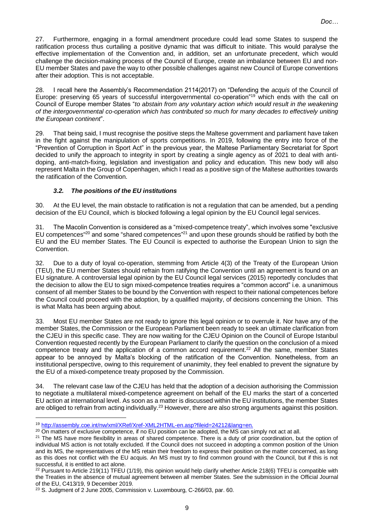27. Furthermore, engaging in a formal amendment procedure could lead some States to suspend the ratification process thus curtailing a positive dynamic that was difficult to initiate. This would paralyse the effective implementation of the Convention and, in addition, set an unfortunate precedent, which would challenge the decision-making process of the Council of Europe, create an imbalance between EU and non-EU member States and pave the way to other possible challenges against new Council of Europe conventions after their adoption. This is not acceptable.

28. I recall here the Assembly's Recommendation 2114(2017) on "Defending the *acquis* of the Council of Europe: preserving 65 years of successful intergovernmental co-operation"<sup>19</sup> which ends with the call on Council of Europe member States "*to abstain from any voluntary action which would result in the weakening of the intergovernmental co-operation which has contributed so much for many decades to effectively uniting the European continent*".

29. That being said, I must recognise the positive steps the Maltese government and parliament have taken in the fight against the manipulation of sports competitions. In 2019, following the entry into force of the "Prevention of Corruption in Sport Act" in the previous year, the Maltese Parliamentary Secretariat for Sport decided to unify the approach to integrity in sport by creating a single agency as of 2021 to deal with antidoping, anti-match-fixing, legislation and investigation and policy and education. This new body will also represent Malta in the Group of Copenhagen, which I read as a positive sign of the Maltese authorities towards the ratification of the Convention.

## *3.2. The positions of the EU institutions*

30. At the EU level, the main obstacle to ratification is not a regulation that can be amended, but a pending decision of the EU Council, which is blocked following a legal opinion by the EU Council legal services.

31. The Macolin Convention is considered as a "mixed-competence treaty", which involves some "exclusive EU competences<sup>"20</sup> and some "shared competences"<sup>21</sup> and upon these grounds should be ratified by both the EU and the EU member States. The EU Council is expected to authorise the European Union to sign the Convention.

32. Due to a duty of loyal co-operation, stemming from Article 4(3) of the Treaty of the European Union (TEU), the EU member States should refrain from ratifying the Convention until an agreement is found on an EU signature. A controversial legal opinion by the EU Council legal services (2015) reportedly concludes that the decision to allow the EU to sign mixed-competence treaties requires a "common accord" i.e. a unanimous consent of all member States to be bound by the Convention with respect to their national competences before the Council could proceed with the adoption, by a qualified majority, of decisions concerning the Union. This is what Malta has been arguing about.

33. Most EU member States are not ready to ignore this legal opinion or to overrule it. Nor have any of the member States, the Commission or the European Parliament been ready to seek an ultimate clarification from the CJEU in this specific case. They are now waiting for the CJEU Opinion on the Council of Europe Istanbul Convention requested recently by the European Parliament to clarify the question on the conclusion of a mixed competence treaty and the application of a common accord requirement.<sup>22</sup> All the same, member States appear to be annoyed by Malta's blocking of the ratification of the Convention. Nonetheless, from an institutional perspective, owing to this requirement of unanimity, they feel enabled to prevent the signature by the EU of a mixed-competence treaty proposed by the Commission.

34. The relevant case law of the CJEU has held that the adoption of a decision authorising the Commission to negotiate a multilateral mixed-competence agreement on behalf of the EU marks the start of a concerted EU action at international level. As soon as a matter is discussed within the EU institutions, the member States are obliged to refrain from acting individually.<sup>23</sup> However, there are also strong arguments against this position.

<sup>19</sup> [http://assembly.coe.int/nw/xml/XRef/Xref-XML2HTML-en.asp?fileid=24212&lang=en.](http://assembly.coe.int/nw/xml/XRef/Xref-XML2HTML-en.asp?fileid=24212&lang=en)

<sup>&</sup>lt;sup>20</sup> On matters of exclusive competence, if no EU position can be adopted, the MS can simply not act at all.

<sup>&</sup>lt;sup>21</sup> The MS have more flexibility in areas of shared competence. There is a duty of prior coordination, but the option of individual MS action is not totally excluded. If the Council does not succeed in adopting a common position of the Union and its MS, the representatives of the MS retain their freedom to express their position on the matter concerned, as long as this does not conflict with the EU acquis. An MS must try to find common ground with the Council, but if this is not successful, it is entitled to act alone.

<sup>22</sup> Pursuant to Article 219(11) TFEU (1/19), this opinion would help clarify whether Article 218(6) TFEU is compatible with the Treaties in the absence of mutual agreement between all member States. See the submission in the Official Journal of the EU, C413/19, 9 December 2019.

<sup>&</sup>lt;sup>23</sup> S. Judgment of 2 June 2005, Commission v. Luxembourg, C-266/03, par. 60.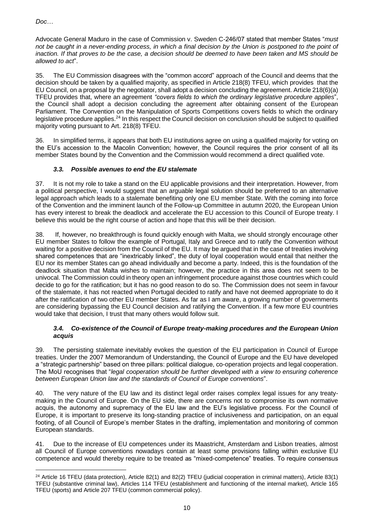*Doc…*

Advocate General Maduro in the case of Commission v. Sweden C-246/07 stated that member States "*must not be caught in a never-ending process, in which a final decision by the Union is postponed to the point of inaction. If that proves to be the case, a decision should be deemed to have been taken and MS should be allowed to act*".

35. The EU Commission disagrees with the "common accord" approach of the Council and deems that the decision should be taken by a qualified majority, as specified in Article 218(8) TFEU, which provides that the EU Council, on a proposal by the negotiator, shall adopt a decision concluding the agreement. Article 218(6)(a) TFEU provides that, where an agreement *"covers fields to which the ordinary legislative procedure applies*", the Council shall adopt a decision concluding the agreement after obtaining consent of the European Parliament. The Convention on the Manipulation of Sports Competitions covers fields to which the ordinary legislative procedure applies.<sup>24</sup> In this respect the Council decision on conclusion should be subject to qualified majority voting pursuant to Art. 218(8) TFEU.

36. In simplified terms, it appears that both EU institutions agree on using a qualified majority for voting on the EU's accession to the Macolin Convention; however, the Council requires the prior consent of all its member States bound by the Convention and the Commission would recommend a direct qualified vote.

# *3.3. Possible avenues to end the EU stalemate*

37. It is not my role to take a stand on the EU applicable provisions and their interpretation. However, from a political perspective, I would suggest that an arguable legal solution should be preferred to an alternative legal approach which leads to a stalemate benefiting only one EU member State. With the coming into force of the Convention and the imminent launch of the Follow-up Committee in autumn 2020, the European Union has every interest to break the deadlock and accelerate the EU accession to this Council of Europe treaty. I believe this would be the right course of action and hope that this will be their decision.

38. If, however, no breakthrough is found quickly enough with Malta, we should strongly encourage other EU member States to follow the example of Portugal, Italy and Greece and to ratify the Convention without waiting for a positive decision from the Council of the EU. It may be argued that in the case of treaties involving shared competences that are "inextricably linked", the duty of loyal cooperation would entail that neither the EU nor its member States can go ahead individually and become a party. Indeed, this is the foundation of the deadlock situation that Malta wishes to maintain; however, the practice in this area does not seem to be univocal. The Commission could in theory open an infringement procedure against those countries which could decide to go for the ratification; but it has no good reason to do so. The Commission does not seem in favour of the stalemate, it has not reacted when Portugal decided to ratify and have not deemed appropriate to do it after the ratification of two other EU member States. As far as I am aware, a growing number of governments are considering bypassing the EU Council decision and ratifying the Convention. If a few more EU countries would take that decision, I trust that many others would follow suit.

## *3.4. Co-existence of the Council of Europe treaty-making procedures and the European Union acquis*

39. The persisting stalemate inevitably evokes the question of the EU participation in Council of Europe treaties. Under the 2007 Memorandum of Understanding, the Council of Europe and the EU have developed a "strategic partnership" based on three pillars: political dialogue, co-operation projects and legal cooperation. The MoU recognises that "*legal cooperation should be further developed with a view to ensuring coherence between European Union law and the standards of Council of Europe conventions*".

40. The very nature of the EU law and its distinct legal order raises complex legal issues for any treatymaking in the Council of Europe. On the EU side, there are concerns not to compromise its own normative acquis, the autonomy and supremacy of the EU law and the EU's legislative process. For the Council of Europe, it is important to preserve its long-standing practice of inclusiveness and participation, on an equal footing, of all Council of Europe's member States in the drafting, implementation and monitoring of common European standards.

41. Due to the increase of EU competences under its Maastricht, Amsterdam and Lisbon treaties, almost all Council of Europe conventions nowadays contain at least some provisions falling within exclusive EU competence and would thereby require to be treated as "mixed-competence" treaties. To require consensus

 $24$  Article 16 TFEU (data protection), Article 82(1) and 82(2) TFEU (judicial cooperation in criminal matters), Article 83(1) TFEU (substantive criminal law), Articles 114 TFEU (establishment and functioning of the internal market), Article 165 TFEU (sports) and Article 207 TFEU (common commercial policy).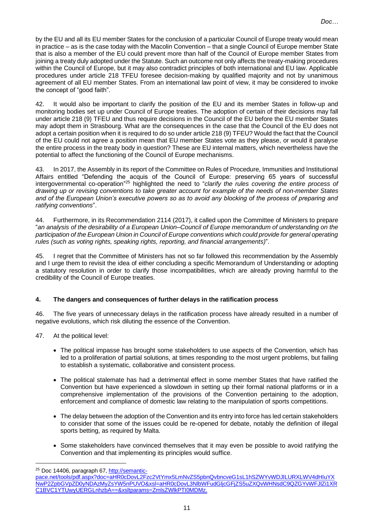by the EU and all its EU member States for the conclusion of a particular Council of Europe treaty would mean in practice – as is the case today with the Macolin Convention – that a single Council of Europe member State that is also a member of the EU could prevent more than half of the Council of Europe member States from joining a treaty duly adopted under the Statute. Such an outcome not only affects the treaty-making procedures within the Council of Europe, but it may also contradict principles of both international and EU law. Applicable procedures under article 218 TFEU foresee decision-making by qualified majority and not by unanimous agreement of all EU member States. From an international law point of view, it may be considered to invoke the concept of "good faith".

42. It would also be important to clarify the position of the EU and its member States in follow-up and monitoring bodies set up under Council of Europe treaties. The adoption of certain of their decisions may fall under article 218 (9) TFEU and thus require decisions in the Council of the EU before the EU member States may adopt them in Strasbourg. What are the consequences in the case that the Council of the EU does not adopt a certain position when it is required to do so under article 218 (9) TFEU? Would the fact that the Council of the EU could not agree a position mean that EU member States vote as they please, or would it paralyse the entire process in the treaty body in question? These are EU internal matters, which nevertheless have the potential to affect the functioning of the Council of Europe mechanisms.

43. In 2017, the Assembly in its report of the Committee on Rules of Procedure, Immunities and Institutional Affairs entitled "Defending the acquis of the Council of Europe: preserving 65 years of successful intergovernmental co-operation"<sup>25</sup> highlighted the need to "*clarify the rules covering the entire process of drawing up or revising conventions to take greater account for example of the needs of non-member States and of the European Union's executive powers so as to avoid any blocking of the process of preparing and ratifying conventions*".

44. Furthermore, in its Recommendation 2114 (2017), it called upon the Committee of Ministers to prepare "*an analysis of the desirability of a European Union–Council of Europe memorandum of understanding on the participation of the European Union in Council of Europe conventions which could provide for general operating rules (such as voting rights, speaking rights, reporting, and financial arrangements)*".

45. I regret that the Committee of Ministers has not so far followed this recommendation by the Assembly and I urge them to revisit the idea of either concluding a specific Memorandum of Understanding or adopting a statutory resolution in order to clarify those incompatibilities, which are already proving harmful to the credibility of the Council of Europe treaties.

## **4. The dangers and consequences of further delays in the ratification process**

46. The five years of unnecessary delays in the ratification process have already resulted in a number of negative evolutions, which risk diluting the essence of the Convention.

- 47. At the political level:
	- The political impasse has brought some stakeholders to use aspects of the Convention, which has led to a proliferation of partial solutions, at times responding to the most urgent problems, but failing to establish a systematic, collaborative and consistent process.
	- The political stalemate has had a detrimental effect in some member States that have ratified the Convention but have experienced a slowdown in setting up their formal national platforms or in a comprehensive implementation of the provisions of the Convention pertaining to the adoption, enforcement and compliance of domestic law relating to the manipulation of sports competitions.
	- The delay between the adoption of the Convention and its entry into force has led certain stakeholders to consider that some of the issues could be re-opened for debate, notably the definition of illegal sports betting, as required by Malta.
	- Some stakeholders have convinced themselves that it may even be possible to avoid ratifying the Convention and that implementing its principles would suffice.

<sup>&</sup>lt;sup>25</sup> Doc 14406, paragraph 67, [http://semantic-](http://semantic-pace.net/tools/pdf.aspx?doc=aHR0cDovL2Fzc2VtYmx5LmNvZS5pbnQvbncveG1sL1hSZWYvWDJILURXLWV4dHIuYXNwP2ZpbGVpZD0yNDAzMyZsYW5nPUVO&xsl=aHR0cDovL3NlbWFudGljcGFjZS5uZXQvWHNsdC9QZGYvWFJlZi1XRC1BVC1YTUwyUERGLnhzbA==&xsltparams=ZmlsZWlkPTI0MDMz)

[pace.net/tools/pdf.aspx?doc=aHR0cDovL2Fzc2VtYmx5LmNvZS5pbnQvbncveG1sL1hSZWYvWDJILURXLWV4dHIuYX](http://semantic-pace.net/tools/pdf.aspx?doc=aHR0cDovL2Fzc2VtYmx5LmNvZS5pbnQvbncveG1sL1hSZWYvWDJILURXLWV4dHIuYXNwP2ZpbGVpZD0yNDAzMyZsYW5nPUVO&xsl=aHR0cDovL3NlbWFudGljcGFjZS5uZXQvWHNsdC9QZGYvWFJlZi1XRC1BVC1YTUwyUERGLnhzbA==&xsltparams=ZmlsZWlkPTI0MDMz) [NwP2ZpbGVpZD0yNDAzMyZsYW5nPUVO&xsl=aHR0cDovL3NlbWFudGljcGFjZS5uZXQvWHNsdC9QZGYvWFJlZi1XR](http://semantic-pace.net/tools/pdf.aspx?doc=aHR0cDovL2Fzc2VtYmx5LmNvZS5pbnQvbncveG1sL1hSZWYvWDJILURXLWV4dHIuYXNwP2ZpbGVpZD0yNDAzMyZsYW5nPUVO&xsl=aHR0cDovL3NlbWFudGljcGFjZS5uZXQvWHNsdC9QZGYvWFJlZi1XRC1BVC1YTUwyUERGLnhzbA==&xsltparams=ZmlsZWlkPTI0MDMz) [C1BVC1YTUwyUERGLnhzbA==&xsltparams=ZmlsZWlkPTI0MDMz.](http://semantic-pace.net/tools/pdf.aspx?doc=aHR0cDovL2Fzc2VtYmx5LmNvZS5pbnQvbncveG1sL1hSZWYvWDJILURXLWV4dHIuYXNwP2ZpbGVpZD0yNDAzMyZsYW5nPUVO&xsl=aHR0cDovL3NlbWFudGljcGFjZS5uZXQvWHNsdC9QZGYvWFJlZi1XRC1BVC1YTUwyUERGLnhzbA==&xsltparams=ZmlsZWlkPTI0MDMz)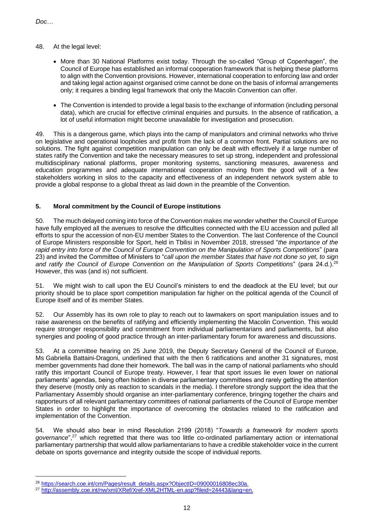## 48. At the legal level:

- More than 30 National Platforms exist today. Through the so-called "Group of Copenhagen", the Council of Europe has established an informal cooperation framework that is helping these platforms to align with the Convention provisions. However, international cooperation to enforcing law and order and taking legal action against organised crime cannot be done on the basis of informal arrangements only; it requires a binding legal framework that only the Macolin Convention can offer.
- The Convention is intended to provide a legal basis to the exchange of information (including personal data), which are crucial for effective criminal enquiries and pursuits. In the absence of ratification, a lot of useful information might become unavailable for investigation and prosecution.

49. This is a dangerous game, which plays into the camp of manipulators and criminal networks who thrive on legislative and operational loopholes and profit from the lack of a common front. Partial solutions are no solutions. The fight against competition manipulation can only be dealt with effectively if a large number of states ratify the Convention and take the necessary measures to set up strong, independent and professional multidisciplinary national platforms, proper monitoring systems, sanctioning measures, awareness and education programmes and adequate international cooperation moving from the good will of a few stakeholders working in silos to the capacity and effectiveness of an independent network system able to provide a global response to a global threat as laid down in the preamble of the Convention.

## **5. Moral commitment by the Council of Europe institutions**

50. The much delayed coming into force of the Convention makes me wonder whether the Council of Europe have fully employed all the avenues to resolve the difficulties connected with the EU accession and pulled all efforts to spur the accession of non-EU member States to the Convention. The last Conference of the Council of Europe Ministers responsible for Sport, held in Tbilisi in November 2018, stressed "*the importance of the rapid entry into force of the Council of Europe Convention on the Manipulation of Sports Competitions*" (para 23) and invited the Committee of Ministers to "*call upon the member States that have not done so yet, to sign*  and ratify the Council of Europe Convention on the Manipulation of Sports Competitions" (para 24.d.).<sup>26</sup> However, this was (and is) not sufficient.

51. We might wish to call upon the EU Council's ministers to end the deadlock at the EU level; but our priority should be to place sport competition manipulation far higher on the political agenda of the Council of Europe itself and of its member States.

52. Our Assembly has its own role to play to reach out to lawmakers on sport manipulation issues and to raise awareness on the benefits of ratifying and efficiently implementing the Macolin Convention. This would require stronger responsibility and commitment from individual parliamentarians and parliaments, but also synergies and pooling of good practice through an inter-parliamentary forum for awareness and discussions.

53. At a committee hearing on 25 June 2019, the Deputy Secretary General of the Council of Europe, Ms Gabriella Battaini-Dragoni, underlined that with the then 6 ratifications and another 31 signatures, most member governments had done their homework. The ball was in the camp of national parliaments who should ratify this important Council of Europe treaty. However, I fear that sport issues lie even lower on national parliaments' agendas, being often hidden in diverse parliamentary committees and rarely getting the attention they deserve (mostly only as reaction to scandals in the media). I therefore strongly support the idea that the Parliamentary Assembly should organise an inter-parliamentary conference, bringing together the chairs and rapporteurs of all relevant parliamentary committees of national parliaments of the Council of Europe member States in order to highlight the importance of overcoming the obstacles related to the ratification and implementation of the Convention.

54. We should also bear in mind Resolution 2199 (2018) "*Towards a framework for modern sports governance*",<sup>27</sup> which regretted that there was too little co-ordinated parliamentary action or international parliamentary partnership that would allow parliamentarians to have a credible stakeholder voice in the current debate on sports governance and integrity outside the scope of individual reports.

<sup>&</sup>lt;sup>26</sup> [https://search.coe.int/cm/Pages/result\\_details.aspx?ObjectID=09000016808ec30a.](https://search.coe.int/cm/Pages/result_details.aspx?ObjectID=09000016808ec30a)

<sup>27</sup> [http://assembly.coe.int/nw/xml/XRef/Xref-XML2HTML-en.asp?fileid=24443&lang=en.](http://assembly.coe.int/nw/xml/XRef/Xref-XML2HTML-en.asp?fileid=24443&lang=en)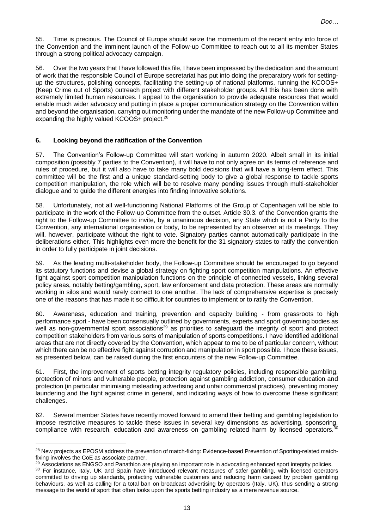55. Time is precious. The Council of Europe should seize the momentum of the recent entry into force of the Convention and the imminent launch of the Follow-up Committee to reach out to all its member States through a strong political advocacy campaign.

56. Over the two years that I have followed this file, I have been impressed by the dedication and the amount of work that the responsible Council of Europe secretariat has put into doing the preparatory work for settingup the structures, polishing concepts, facilitating the setting-up of national platforms, running the KCOOS+ (Keep Crime out of Sports) outreach project with different stakeholder groups. All this has been done with extremely limited human resources. I appeal to the organisation to provide adequate resources that would enable much wider advocacy and putting in place a proper communication strategy on the Convention within and beyond the organisation, carrying out monitoring under the mandate of the new Follow-up Committee and expanding the highly valued KCOOS+ project.<sup>28</sup>

#### **6. Looking beyond the ratification of the Convention**

57. The Convention's Follow-up Committee will start working in autumn 2020. Albeit small in its initial composition (possibly 7 parties to the Convention), it will have to not only agree on its terms of reference and rules of procedure, but it will also have to take many bold decisions that will have a long-term effect. This committee will be the first and a unique standard-setting body to give a global response to tackle sports competition manipulation, the role which will be to resolve many pending issues through multi-stakeholder dialogue and to guide the different energies into finding innovative solutions.

58. Unfortunately, not all well-functioning National Platforms of the Group of Copenhagen will be able to participate in the work of the Follow-up Committee from the outset. Article 30.3. of the Convention grants the right to the Follow-up Committee to invite, by a unanimous decision, any State which is not a Party to the Convention, any international organisation or body, to be represented by an observer at its meetings. They will, however, participate without the right to vote. Signatory parties cannot automatically participate in the deliberations either. This highlights even more the benefit for the 31 signatory states to ratify the convention in order to fully participate in joint decisions.

59. As the leading multi-stakeholder body, the Follow-up Committee should be encouraged to go beyond its statutory functions and devise a global strategy on fighting sport competition manipulations. An effective fight against sport competition manipulation functions on the principle of connected vessels, linking several policy areas, notably betting/gambling, sport, law enforcement and data protection. These areas are normally working in silos and would rarely connect to one another. The lack of comprehensive expertise is precisely one of the reasons that has made it so difficult for countries to implement or to ratify the Convention.

60. Awareness, education and training, prevention and capacity building - from grassroots to high performance sport - have been consensually outlined by governments, experts and sport governing bodies as well as non-governmental sport associations<sup>29</sup> as priorities to safeguard the integrity of sport and protect competition stakeholders from various sorts of manipulation of sports competitions. I have identified additional areas that are not directly covered by the Convention, which appear to me to be of particular concern, without which there can be no effective fight against corruption and manipulation in sport possible. I hope these issues, as presented below, can be raised during the first encounters of the new Follow-up Committee.

61. First, the improvement of sports betting integrity regulatory policies, including responsible gambling, protection of minors and vulnerable people, protection against gambling addiction, consumer education and protection (in particular minimising misleading advertising and unfair commercial practices), preventing money laundering and the fight against crime in general, and indicating ways of how to overcome these significant challenges.

62. Several member States have recently moved forward to amend their betting and gambling legislation to impose restrictive measures to tackle these issues in several key dimensions as advertising, sponsoring, compliance with research, education and awareness on gambling related harm by licensed operators.<sup>30</sup>

<sup>&</sup>lt;sup>28</sup> New projects as EPOSM address the prevention of match-fixing: Evidence-based Prevention of Sporting-related matchfixing involves the CoE as associate partner.

 $29$  Associations as ENGSO and Panathlon are playing an important role in advocating enhanced sport integrity policies.

<sup>&</sup>lt;sup>30</sup> For instance, Italy, UK and Spain have introduced relevant measures of safer gambling, with licensed operators committed to driving up standards, protecting vulnerable customers and reducing harm caused by problem gambling behaviours, as well as calling for a total ban on broadcast advertising by operators (Italy, UK), thus sending a strong message to the world of sport that often looks upon the sports betting industry as a mere revenue source.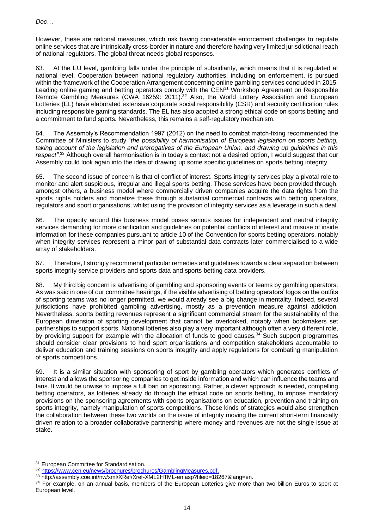However, these are national measures, which risk having considerable enforcement challenges to regulate online services that are intrinsically cross-border in nature and therefore having very limited jurisdictional reach of national regulators. The global threat needs global responses.

63. At the EU level, gambling falls under the principle of subsidiarity, which means that it is regulated at national level. Cooperation between national regulatory authorities, including on enforcement, is pursued within the framework of the Cooperation Arrangement concerning online gambling services concluded in 2015. Leading online gaming and betting operators comply with the CEN<sup>31</sup> Workshop Agreement on Responsible Remote Gambling Measures (CWA 16259: 2011).<sup>32</sup> Also, the World Lottery Association and European Lotteries (EL) have elaborated extensive corporate social responsibility (CSR) and security certification rules including responsible gaming standards. The EL has also adopted a strong ethical code on sports betting and a commitment to fund sports. Nevertheless, this remains a self-regulatory mechanism.

64. The Assembly's Recommendation 1997 (2012) on the need to combat match-fixing recommended the Committee of Ministers to study "*the possibility of harmonisation of European legislation on sports betting, taking account of the legislation and prerogatives of the European Union, and drawing up guidelines in this respect".*<sup>33</sup> Although overall harmonisation is in today's context not a desired option, I would suggest that our Assembly could look again into the idea of drawing up some specific guidelines on sports betting integrity.

65. The second issue of concern is that of conflict of interest. Sports integrity services play a pivotal role to monitor and alert suspicious, irregular and illegal sports betting. These services have been provided through, amongst others, a business model where commercially driven companies acquire the data rights from the sports rights holders and monetize these through substantial commercial contracts with betting operators, regulators and sport organisations, whilst using the provision of integrity services as a leverage in such a deal.

66. The opacity around this business model poses serious issues for independent and neutral integrity services demanding for more clarification and guidelines on potential conflicts of interest and misuse of inside information for these companies pursuant to article 10 of the Convention for sports betting operators, notably when integrity services represent a minor part of substantial data contracts later commercialised to a wide array of stakeholders.

67. Therefore, I strongly recommend particular remedies and guidelines towards a clear separation between sports integrity service providers and sports data and sports betting data providers.

68. My third big concern is advertising of gambling and sponsoring events or teams by gambling operators. As was said in one of our committee hearings, if the visible advertising of betting operators' logos on the outfits of sporting teams was no longer permitted, we would already see a big change in mentality. Indeed, several jurisdictions have prohibited gambling advertising, mostly as a prevention measure against addiction. Nevertheless, sports betting revenues represent a significant commercial stream for the sustainability of the European dimension of sporting development that cannot be overlooked, notably when bookmakers set partnerships to support sports. National lotteries also play a very important although often a very different role, by providing support for example with the allocation of funds to good causes.<sup>34</sup> Such support programmes should consider clear provisions to hold sport organisations and competition stakeholders accountable to deliver education and training sessions on sports integrity and apply regulations for combating manipulation of sports competitions.

69. It is a similar situation with sponsoring of sport by gambling operators which generates conflicts of interest and allows the sponsoring companies to get inside information and which can influence the teams and fans. It would be unwise to impose a full ban on sponsoring. Rather, a clever approach is needed, compelling betting operators, as lotteries already do through the ethical code on sports betting, to impose mandatory provisions on the sponsoring agreements with sports organisations on education, prevention and training on sports integrity, namely manipulation of sports competitions. These kinds of strategies would also strengthen the collaboration between these two worlds on the issue of integrity moving the current short-term financially driven relation to a broader collaborative partnership where money and revenues are not the single issue at stake.

<sup>&</sup>lt;sup>31</sup> European Committee for Standardisation.

<sup>32</sup> [https://www.cen.eu/news/brochures/brochures/GamblingMeasures.pdf.](https://www.cen.eu/news/brochures/brochures/GamblingMeasures.pdf)

<sup>&</sup>lt;sup>33</sup> http://assembly.coe.int/nw/xml/XRef/Xref-XML2HTML-en.asp?fileid=18267&lang=en.

<sup>34</sup> For example, on an annual basis, members of the European Lotteries give more than two billion Euros to sport at European level.